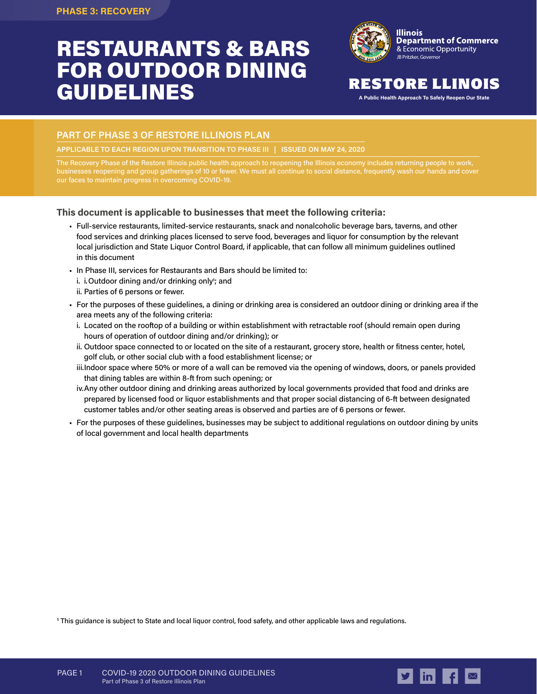# RESTAURANTS & BARS FOR OUTDOOR DINING GUIDELINES



### RESTORE LLINOIS

**A Public Health Approach To Safely Reopen Our State**

### **PART OF PHASE 3 OF RESTORE ILLINOIS PLAN**

**APPLICABLE TO EACH REGION UPON TRANSITION TO PHASE III | ISSUED ON MAY 24, 2020**

The Recovery Phase of the Restore Illinois public health approach to reopening the Illinois economy includes returning people to work, businesses reopening and group gatherings of 10 or fewer. We must all continue to social distance, frequently wash our hands and cover our faces to maintain progress in overcoming COVID-19.

### **This document is applicable to businesses that meet the following criteria:**

- Full-service restaurants, limited-service restaurants, snack and nonalcoholic beverage bars, taverns, and other food services and drinking places licensed to serve food, beverages and liquor for consumption by the relevant local jurisdiction and State Liquor Control Board, if applicable, that can follow all minimum guidelines outlined in this document
- In Phase III, services for Restaurants and Bars should be limited to:
	- i. i.Outdoor dining and/or drinking only<sup>1</sup>; and
	- ii. Parties of 6 persons or fewer.
- For the purposes of these guidelines, a dining or drinking area is considered an outdoor dining or drinking area if the area meets any of the following criteria:
	- i. Located on the rooftop of a building or within establishment with retractable roof (should remain open during hours of operation of outdoor dining and/or drinking); or
	- ii. Outdoor space connected to or located on the site of a restaurant, grocery store, health or fitness center, hotel, golf club, or other social club with a food establishment license; or
	- iii.Indoor space where 50% or more of a wall can be removed via the opening of windows, doors, or panels provided that dining tables are within 8-ft from such opening; or
	- iv.Any other outdoor dining and drinking areas authorized by local governments provided that food and drinks are prepared by licensed food or liquor establishments and that proper social distancing of 6-ft between designated customer tables and/or other seating areas is observed and parties are of 6 persons or fewer.
- For the purposes of these guidelines, businesses may be subject to additional regulations on outdoor dining by units of local government and local health departments

**1** This guidance is subject to State and local liquor control, food safety, and other applicable laws and regulations.

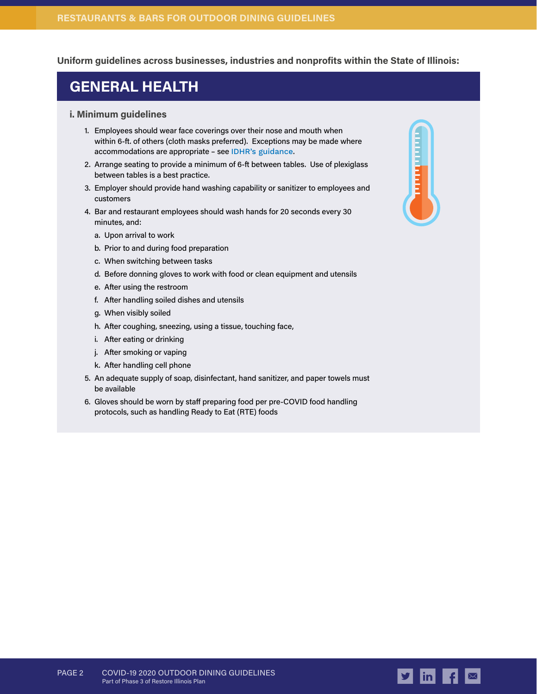### **Uniform guidelines across businesses, industries and nonprofits within the State of Illinois:**

### **GENERAL HEALTH**

### **i. Minimum guidelines**

- 1. Employees should wear face coverings over their nose and mouth when within 6-ft. of others (cloth masks preferred). Exceptions may be made where accommodations are appropriate – see [IDHR's guidance](https://www2.illinois.gov/dhr/Documents/IDHR_FAQ_for_Businesses_Concerning_Use_of_Face-Coverings_During_COVID-19_Ver_2020511b%20copy.pdf).
- 2. Arrange seating to provide a minimum of 6-ft between tables. Use of plexiglass between tables is a best practice.
- 3. Employer should provide hand washing capability or sanitizer to employees and customers
- 4. Bar and restaurant employees should wash hands for 20 seconds every 30 minutes, and:
	- a. Upon arrival to work
	- b. Prior to and during food preparation
	- c. When switching between tasks
	- d. Before donning gloves to work with food or clean equipment and utensils
	- e. After using the restroom
	- f. After handling soiled dishes and utensils
	- g. When visibly soiled
	- h. After coughing, sneezing, using a tissue, touching face,
	- i. After eating or drinking
	- j. After smoking or vaping
	- k. After handling cell phone
- 5. An adequate supply of soap, disinfectant, hand sanitizer, and paper towels must be available
- 6. Gloves should be worn by staff preparing food per pre-COVID food handling protocols, such as handling Ready to Eat (RTE) foods



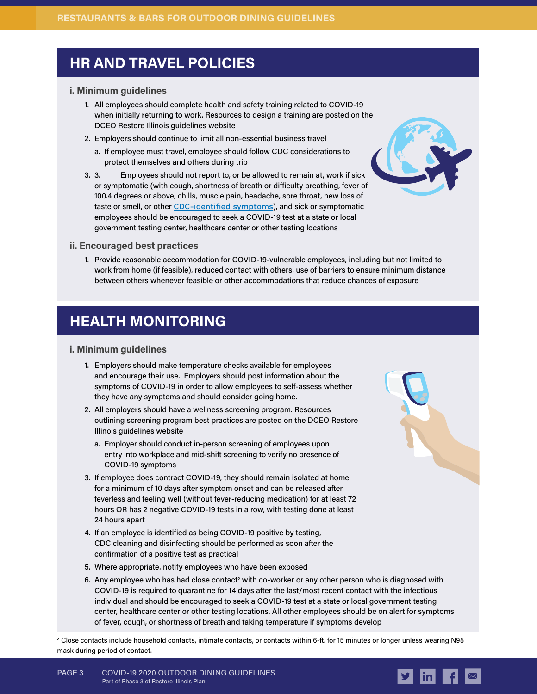### **HR AND TRAVEL POLICIES**

### **i. Minimum guidelines**

- 1. All employees should complete health and safety training related to COVID-19 when initially returning to work. Resources to design a training are posted on the DCEO Restore Illinois guidelines website
- 2. Employers should continue to limit all non-essential business travel
	- a. If employee must travel, employee should follow CDC considerations to protect themselves and others during trip
- 3. 3. Employees should not report to, or be allowed to remain at, work if sick or symptomatic (with cough, shortness of breath or difficulty breathing, fever of 100.4 degrees or above, chills, muscle pain, headache, sore throat, new loss of taste or smell, or other [CDC-identified symptoms](https://www.cdc.gov/coronavirus/2019-ncov/symptoms-testing/symptoms.html)), and sick or symptomatic employees should be encouraged to seek a COVID-19 test at a state or local government testing center, healthcare center or other testing locations



### **ii. Encouraged best practices**

1. Provide reasonable accommodation for COVID-19-vulnerable employees, including but not limited to work from home (if feasible), reduced contact with others, use of barriers to ensure minimum distance between others whenever feasible or other accommodations that reduce chances of exposure

# **HEALTH MONITORING**

### **i. Minimum guidelines**

- 1. Employers should make temperature checks available for employees and encourage their use. Employers should post information about the symptoms of COVID-19 in order to allow employees to self-assess whether they have any symptoms and should consider going home.
- 2. All employers should have a wellness screening program. Resources outlining screening program best practices are posted on the DCEO Restore Illinois guidelines website
	- a. Employer should conduct in-person screening of employees upon entry into workplace and mid-shift screening to verify no presence of COVID-19 symptoms
- 3. If employee does contract COVID-19, they should remain isolated at home for a minimum of 10 days after symptom onset and can be released after feverless and feeling well (without fever-reducing medication) for at least 72 hours OR has 2 negative COVID-19 tests in a row, with testing done at least 24 hours apart
- 4. If an employee is identified as being COVID-19 positive by testing, CDC cleaning and disinfecting should be performed as soon after the confirmation of a positive test as practical
- 5. Where appropriate, notify employees who have been exposed
- 6. Any employee who has had close contact<sup>2</sup> with co-worker or any other person who is diagnosed with COVID-19 is required to quarantine for 14 days after the last/most recent contact with the infectious individual and should be encouraged to seek a COVID-19 test at a state or local government testing center, healthcare center or other testing locations. All other employees should be on alert for symptoms of fever, cough, or shortness of breath and taking temperature if symptoms develop

**2** Close contacts include household contacts, intimate contacts, or contacts within 6-ft. for 15 minutes or longer unless wearing N95 mask during period of contact.

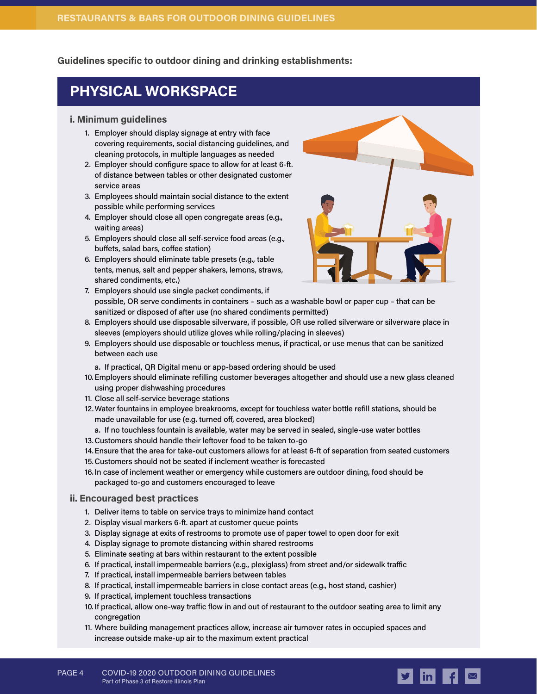**Guidelines specific to outdoor dining and drinking establishments:**

# **PHYSICAL WORKSPACE**

### **i. Minimum guidelines**

- 1. Employer should display signage at entry with face covering requirements, social distancing guidelines, and cleaning protocols, in multiple languages as needed
- 2. Employer should configure space to allow for at least 6-ft. of distance between tables or other designated customer service areas
- 3. Employees should maintain social distance to the extent possible while performing services
- 4. Employer should close all open congregate areas (e.g., waiting areas)
- 5. Employers should close all self-service food areas (e.g., buffets, salad bars, coffee station)
- 6. Employers should eliminate table presets (e.g., table tents, menus, salt and pepper shakers, lemons, straws, shared condiments, etc.)



- 7. Employers should use single packet condiments, if possible, OR serve condiments in containers – such as a washable bowl or paper cup – that can be sanitized or disposed of after use (no shared condiments permitted)
- 8. Employers should use disposable silverware, if possible, OR use rolled silverware or silverware place in sleeves (employers should utilize gloves while rolling/placing in sleeves)
- 9. Employers should use disposable or touchless menus, if practical, or use menus that can be sanitized between each use
	- a. If practical, QR Digital menu or app-based ordering should be used
- 10.Employers should eliminate refilling customer beverages altogether and should use a new glass cleaned using proper dishwashing procedures
- 11. Close all self-service beverage stations
- 12.Water fountains in employee breakrooms, except for touchless water bottle refill stations, should be made unavailable for use (e.g. turned off, covered, area blocked)
- a. If no touchless fountain is available, water may be served in sealed, single-use water bottles
- 13.Customers should handle their leftover food to be taken to-go
- 14.Ensure that the area for take-out customers allows for at least 6-ft of separation from seated customers
- 15.Customers should not be seated if inclement weather is forecasted
- 16.In case of inclement weather or emergency while customers are outdoor dining, food should be packaged to-go and customers encouraged to leave

### **ii. Encouraged best practices**

- 1. Deliver items to table on service trays to minimize hand contact
- 2. Display visual markers 6-ft. apart at customer queue points
- 3. Display signage at exits of restrooms to promote use of paper towel to open door for exit
- 4. Display signage to promote distancing within shared restrooms
- 5. Eliminate seating at bars within restaurant to the extent possible
- 6. If practical, install impermeable barriers (e.g., plexiglass) from street and/or sidewalk traffic
- 7. If practical, install impermeable barriers between tables
- 8. If practical, install impermeable barriers in close contact areas (e.g., host stand, cashier)
- 9. If practical, implement touchless transactions
- 10. If practical, allow one-way traffic flow in and out of restaurant to the outdoor seating area to limit any congregation
- 11. Where building management practices allow, increase air turnover rates in occupied spaces and increase outside make-up air to the maximum extent practical

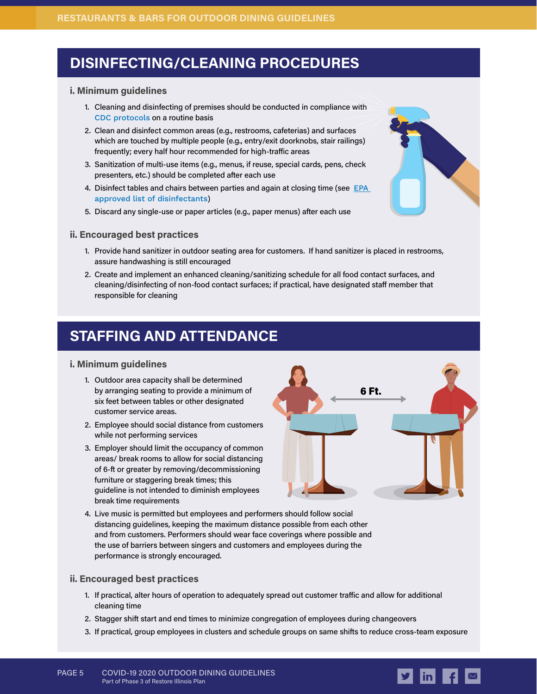# **DISINFECTING/CLEANING PROCEDURES**

### **i. Minimum guidelines**

- 1. Cleaning and disinfecting of premises should be conducted in compliance with [CDC protocols](https://www.cdc.gov/coronavirus/2019-ncov/community/pdf/Reopening_America_Guidance.pdf) on a routine basis
- 2. Clean and disinfect common areas (e.g., restrooms, cafeterias) and surfaces which are touched by multiple people (e.g., entry/exit doorknobs, stair railings) frequently; every half hour recommended for high-traffic areas
- 3. Sanitization of multi-use items (e.g., menus, if reuse, special cards, pens, check presenters, etc.) should be completed after each use
- 4. Disinfect tables and chairs between parties and again at closing time (see EPA [approved list of disinfectants](https://www.epa.gov/pesticide-registration/list-n-disinfectants-use-against-sars-cov-2))
- 5. Discard any single-use or paper articles (e.g., paper menus) after each use

### **ii. Encouraged best practices**

- 1. Provide hand sanitizer in outdoor seating area for customers. If hand sanitizer is placed in restrooms, assure handwashing is still encouraged
- 2. Create and implement an enhanced cleaning/sanitizing schedule for all food contact surfaces, and cleaning/disinfecting of non-food contact surfaces; if practical, have designated staff member that responsible for cleaning

### **STAFFING AND ATTENDANCE**

### **i. Minimum guidelines**

- 1. Outdoor area capacity shall be determined by arranging seating to provide a minimum of six feet between tables or other designated customer service areas.
- 2. Employee should social distance from customers while not performing services
- 3. Employer should limit the occupancy of common areas/ break rooms to allow for social distancing of 6-ft or greater by removing/decommissioning furniture or staggering break times; this guideline is not intended to diminish employees break time requirements



4. Live music is permitted but employees and performers should follow social distancing guidelines, keeping the maximum distance possible from each other and from customers. Performers should wear face coverings where possible and the use of barriers between singers and customers and employees during the performance is strongly encouraged.

### **ii. Encouraged best practices**

- 1. If practical, alter hours of operation to adequately spread out customer traffic and allow for additional cleaning time
- 2. Stagger shift start and end times to minimize congregation of employees during changeovers
- 3. If practical, group employees in clusters and schedule groups on same shifts to reduce cross-team exposure

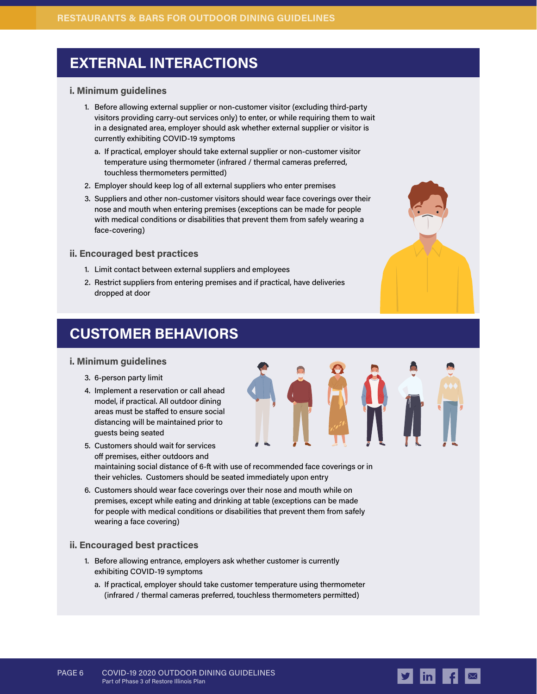# **EXTERNAL INTERACTIONS**

### **i. Minimum guidelines**

- 1. Before allowing external supplier or non-customer visitor (excluding third-party visitors providing carry-out services only) to enter, or while requiring them to wait in a designated area, employer should ask whether external supplier or visitor is currently exhibiting COVID-19 symptoms
	- a. If practical, employer should take external supplier or non-customer visitor temperature using thermometer (infrared / thermal cameras preferred, touchless thermometers permitted)
- 2. Employer should keep log of all external suppliers who enter premises
- 3. Suppliers and other non-customer visitors should wear face coverings over their nose and mouth when entering premises (exceptions can be made for people with medical conditions or disabilities that prevent them from safely wearing a face-covering)

### **ii. Encouraged best practices**

- 1. Limit contact between external suppliers and employees
- 2. Restrict suppliers from entering premises and if practical, have deliveries dropped at door

# **CUSTOMER BEHAVIORS**

### **i. Minimum guidelines**

- 3. 6-person party limit
- 4. Implement a reservation or call ahead model, if practical. All outdoor dining areas must be staffed to ensure social distancing will be maintained prior to guests being seated
- 5. Customers should wait for services off premises, either outdoors and maintaining social distance of 6-ft with use of recommended face coverings or in their vehicles. Customers should be seated immediately upon entry
- 6. Customers should wear face coverings over their nose and mouth while on premises, except while eating and drinking at table (exceptions can be made for people with medical conditions or disabilities that prevent them from safely wearing a face covering)

### **ii. Encouraged best practices**

- 1. Before allowing entrance, employers ask whether customer is currently exhibiting COVID-19 symptoms
	- a. If practical, employer should take customer temperature using thermometer (infrared / thermal cameras preferred, touchless thermometers permitted)





PAGE 6 COVID-19 2020 OUTDOOR DINING GUIDELINES Part of Phase 3 of Restore Illinois Plan